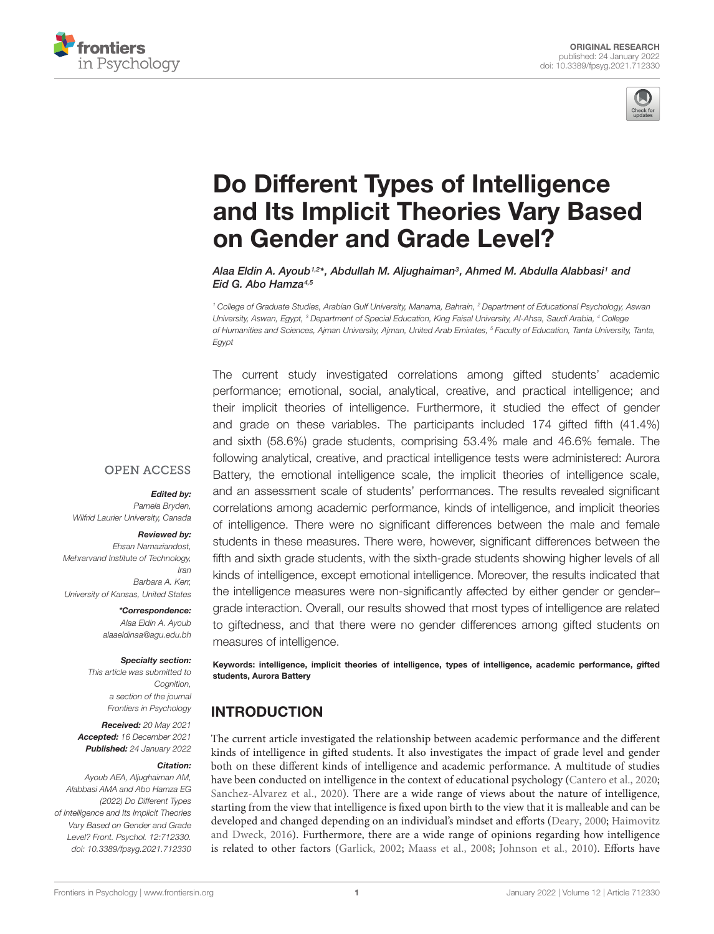



# Do Different Types of Intelligence [and Its Implicit Theories Vary Based](https://www.frontiersin.org/articles/10.3389/fpsyg.2021.712330/full) on Gender and Grade Level?

Alaa Eldin A. Ayoub1<sup>,2</sup>\*, Abdullah M. Aljughaiman<sup>3</sup>, Ahmed M. Abdulla Alabbasi1 and Eid G. Abo Hamza<sup>4,5</sup>

<sup>1</sup> College of Graduate Studies, Arabian Gulf University, Manama, Bahrain, <sup>2</sup> Department of Educational Psychology, Aswan University, Aswan, Egypt, <sup>3</sup> Department of Special Education, King Faisal University, Al-Ahsa, Saudi Arabia, <sup>4</sup> College of Humanities and Sciences, Aiman University, Aiman, United Arab Emirates, <sup>5</sup> Faculty of Education, Tanta University, Tanta, Egypt

The current study investigated correlations among gifted students' academic performance; emotional, social, analytical, creative, and practical intelligence; and their implicit theories of intelligence. Furthermore, it studied the effect of gender and grade on these variables. The participants included 174 gifted fifth (41.4%) and sixth (58.6%) grade students, comprising 53.4% male and 46.6% female. The following analytical, creative, and practical intelligence tests were administered: Aurora Battery, the emotional intelligence scale, the implicit theories of intelligence scale, and an assessment scale of students' performances. The results revealed significant correlations among academic performance, kinds of intelligence, and implicit theories of intelligence. There were no significant differences between the male and female students in these measures. There were, however, significant differences between the fifth and sixth grade students, with the sixth-grade students showing higher levels of all kinds of intelligence, except emotional intelligence. Moreover, the results indicated that the intelligence measures were non-significantly affected by either gender or gender– grade interaction. Overall, our results showed that most types of intelligence are related to giftedness, and that there were no gender differences among gifted students on measures of intelligence.

Keywords: intelligence, implicit theories of intelligence, types of intelligence, academic performance, gifted students, Aurora Battery

### INTRODUCTION

The current article investigated the relationship between academic performance and the different kinds of intelligence in gifted students. It also investigates the impact of grade level and gender both on these different kinds of intelligence and academic performance. A multitude of studies have been conducted on intelligence in the context of educational psychology [\(Cantero et al.,](#page-7-0) [2020;](#page-7-0) [Sanchez-Alvarez et al.,](#page-9-0) [2020\)](#page-9-0). There are a wide range of views about the nature of intelligence, starting from the view that intelligence is fixed upon birth to the view that it is malleable and can be developed and changed depending on an individual's mindset and efforts [\(Deary,](#page-8-0) [2000;](#page-8-0) [Haimovitz](#page-8-1) [and Dweck,](#page-8-1) [2016\)](#page-8-1). Furthermore, there are a wide range of opinions regarding how intelligence is related to other factors [\(Garlick,](#page-8-2) [2002;](#page-8-2) [Maass et al.,](#page-9-1) [2008;](#page-9-1) [Johnson et al.,](#page-9-2) [2010\)](#page-9-2). Efforts have

#### **OPEN ACCESS**

Edited by:

Pamela Bryden, Wilfrid Laurier University, Canada

#### Reviewed by:

Ehsan Namaziandost, Mehrarvand Institute of Technology, Iran Barbara A. Kerr, University of Kansas, United States

> \*Correspondence: Alaa Eldin A. Ayoub alaaeldinaa@agu.edu.bh

#### Specialty section:

This article was submitted to Cognition, a section of the journal Frontiers in Psychology

Received: 20 May 2021 Accepted: 16 December 2021 Published: 24 January 2022

#### Citation:

Ayoub AEA, Aljughaiman AM, Alabbasi AMA and Abo Hamza EG (2022) Do Different Types of Intelligence and Its Implicit Theories Vary Based on Gender and Grade Level? Front. Psychol. 12:712330. doi: [10.3389/fpsyg.2021.712330](https://doi.org/10.3389/fpsyg.2021.712330)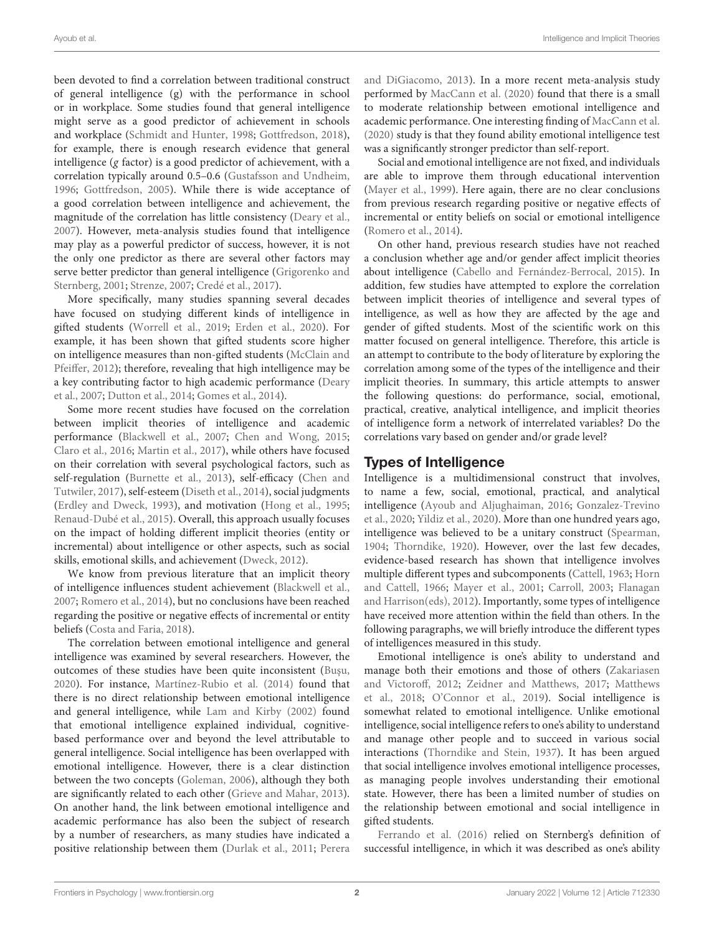been devoted to find a correlation between traditional construct of general intelligence (g) with the performance in school or in workplace. Some studies found that general intelligence might serve as a good predictor of achievement in schools and workplace [\(Schmidt and Hunter,](#page-9-3) [1998;](#page-9-3) [Gottfredson,](#page-8-3) [2018\)](#page-8-3), for example, there is enough research evidence that general intelligence (g factor) is a good predictor of achievement, with a correlation typically around 0.5–0.6 [\(Gustafsson and Undheim,](#page-8-4) [1996;](#page-8-4) [Gottfredson,](#page-8-5) [2005\)](#page-8-5). While there is wide acceptance of a good correlation between intelligence and achievement, the magnitude of the correlation has little consistency [\(Deary et al.,](#page-8-6) [2007\)](#page-8-6). However, meta-analysis studies found that intelligence may play as a powerful predictor of success, however, it is not the only one predictor as there are several other factors may serve better predictor than general intelligence [\(Grigorenko and](#page-8-7) [Sternberg,](#page-8-7) [2001;](#page-8-7) [Strenze,](#page-10-0) [2007;](#page-10-0) [Credé et al.,](#page-8-8) [2017\)](#page-8-8).

More specifically, many studies spanning several decades have focused on studying different kinds of intelligence in gifted students [\(Worrell et al.,](#page-10-1) [2019;](#page-10-1) [Erden et al.,](#page-8-9) [2020\)](#page-8-9). For example, it has been shown that gifted students score higher on intelligence measures than non-gifted students [\(McClain and](#page-9-4) [Pfeiffer,](#page-9-4) [2012\)](#page-9-4); therefore, revealing that high intelligence may be a key contributing factor to high academic performance [\(Deary](#page-8-6) [et al.,](#page-8-6) [2007;](#page-8-6) [Dutton et al.,](#page-8-10) [2014;](#page-8-10) [Gomes et al.,](#page-8-11) [2014\)](#page-8-11).

Some more recent studies have focused on the correlation between implicit theories of intelligence and academic performance [\(Blackwell et al.,](#page-7-1) [2007;](#page-7-1) [Chen and Wong,](#page-7-2) [2015;](#page-7-2) [Claro et al.,](#page-7-3) [2016;](#page-7-3) [Martin et al.,](#page-9-5) [2017\)](#page-9-5), while others have focused on their correlation with several psychological factors, such as self-regulation [\(Burnette et al.,](#page-7-4) [2013\)](#page-7-4), self-efficacy [\(Chen and](#page-7-5) [Tutwiler,](#page-7-5) [2017\)](#page-7-5), self-esteem [\(Diseth et al.,](#page-8-12) [2014\)](#page-8-12), social judgments [\(Erdley and Dweck,](#page-8-13) [1993\)](#page-8-13), and motivation [\(Hong et al.,](#page-8-14) [1995;](#page-8-14) [Renaud-Dubé et al.,](#page-9-6) [2015\)](#page-9-6). Overall, this approach usually focuses on the impact of holding different implicit theories (entity or incremental) about intelligence or other aspects, such as social skills, emotional skills, and achievement [\(Dweck,](#page-8-15) [2012\)](#page-8-15).

We know from previous literature that an implicit theory of intelligence influences student achievement [\(Blackwell et al.,](#page-7-1) [2007;](#page-7-1) [Romero et al.,](#page-9-7) [2014\)](#page-9-7), but no conclusions have been reached regarding the positive or negative effects of incremental or entity beliefs [\(Costa and Faria,](#page-8-16) [2018\)](#page-8-16).

The correlation between emotional intelligence and general intelligence was examined by several researchers. However, the outcomes of these studies have been quite inconsistent (Buşu, [2020\)](#page-7-6). For instance, [Martínez-Rubio et al.](#page-9-8) [\(2014\)](#page-9-8) found that there is no direct relationship between emotional intelligence and general intelligence, while [Lam and Kirby](#page-9-9) [\(2002\)](#page-9-9) found that emotional intelligence explained individual, cognitivebased performance over and beyond the level attributable to general intelligence. Social intelligence has been overlapped with emotional intelligence. However, there is a clear distinction between the two concepts [\(Goleman,](#page-8-17) [2006\)](#page-8-17), although they both are significantly related to each other [\(Grieve and Mahar,](#page-8-18) [2013\)](#page-8-18). On another hand, the link between emotional intelligence and academic performance has also been the subject of research by a number of researchers, as many studies have indicated a positive relationship between them [\(Durlak et al.,](#page-8-19) [2011;](#page-8-19) [Perera](#page-9-10)

[and DiGiacomo,](#page-9-10) [2013\)](#page-9-10). In a more recent meta-analysis study performed by [MacCann et al.](#page-9-11) [\(2020\)](#page-9-11) found that there is a small to moderate relationship between emotional intelligence and academic performance. One interesting finding of [MacCann et al.](#page-9-11) [\(2020\)](#page-9-11) study is that they found ability emotional intelligence test was a significantly stronger predictor than self-report.

Social and emotional intelligence are not fixed, and individuals are able to improve them through educational intervention [\(Mayer et al.,](#page-9-12) [1999\)](#page-9-12). Here again, there are no clear conclusions from previous research regarding positive or negative effects of incremental or entity beliefs on social or emotional intelligence [\(Romero et al.,](#page-9-7) [2014\)](#page-9-7).

On other hand, previous research studies have not reached a conclusion whether age and/or gender affect implicit theories about intelligence [\(Cabello and Fernández-Berrocal,](#page-7-7) [2015\)](#page-7-7). In addition, few studies have attempted to explore the correlation between implicit theories of intelligence and several types of intelligence, as well as how they are affected by the age and gender of gifted students. Most of the scientific work on this matter focused on general intelligence. Therefore, this article is an attempt to contribute to the body of literature by exploring the correlation among some of the types of the intelligence and their implicit theories. In summary, this article attempts to answer the following questions: do performance, social, emotional, practical, creative, analytical intelligence, and implicit theories of intelligence form a network of interrelated variables? Do the correlations vary based on gender and/or grade level?

### Types of Intelligence

Intelligence is a multidimensional construct that involves, to name a few, social, emotional, practical, and analytical intelligence [\(Ayoub and Aljughaiman,](#page-7-8) [2016;](#page-7-8) [Gonzalez-Trevino](#page-8-20) [et al.,](#page-8-20) [2020;](#page-8-20) [Yildiz et al.,](#page-10-2) [2020\)](#page-10-2). More than one hundred years ago, intelligence was believed to be a unitary construct [\(Spearman,](#page-10-3) [1904;](#page-10-3) [Thorndike,](#page-10-4) [1920\)](#page-10-4). However, over the last few decades, evidence-based research has shown that intelligence involves multiple different types and subcomponents [\(Cattell,](#page-7-9) [1963;](#page-7-9) [Horn](#page-8-21) [and Cattell,](#page-8-21) [1966;](#page-8-21) [Mayer et al.,](#page-9-13) [2001;](#page-9-13) [Carroll,](#page-7-10) [2003;](#page-7-10) [Flanagan](#page-8-22) [and Harrison\(eds\),](#page-8-22) [2012\)](#page-8-22). Importantly, some types of intelligence have received more attention within the field than others. In the following paragraphs, we will briefly introduce the different types of intelligences measured in this study.

Emotional intelligence is one's ability to understand and manage both their emotions and those of others [\(Zakariasen](#page-10-5) [and Victoroff,](#page-10-5) [2012;](#page-10-5) [Zeidner and Matthews,](#page-10-6) [2017;](#page-10-6) [Matthews](#page-9-14) [et al.,](#page-9-14) [2018;](#page-9-14) [O'Connor et al.,](#page-9-15) [2019\)](#page-9-15). Social intelligence is somewhat related to emotional intelligence. Unlike emotional intelligence, social intelligence refers to one's ability to understand and manage other people and to succeed in various social interactions [\(Thorndike and Stein,](#page-10-7) [1937\)](#page-10-7). It has been argued that social intelligence involves emotional intelligence processes, as managing people involves understanding their emotional state. However, there has been a limited number of studies on the relationship between emotional and social intelligence in gifted students.

[Ferrando et al.](#page-8-23) [\(2016\)](#page-8-23) relied on Sternberg's definition of successful intelligence, in which it was described as one's ability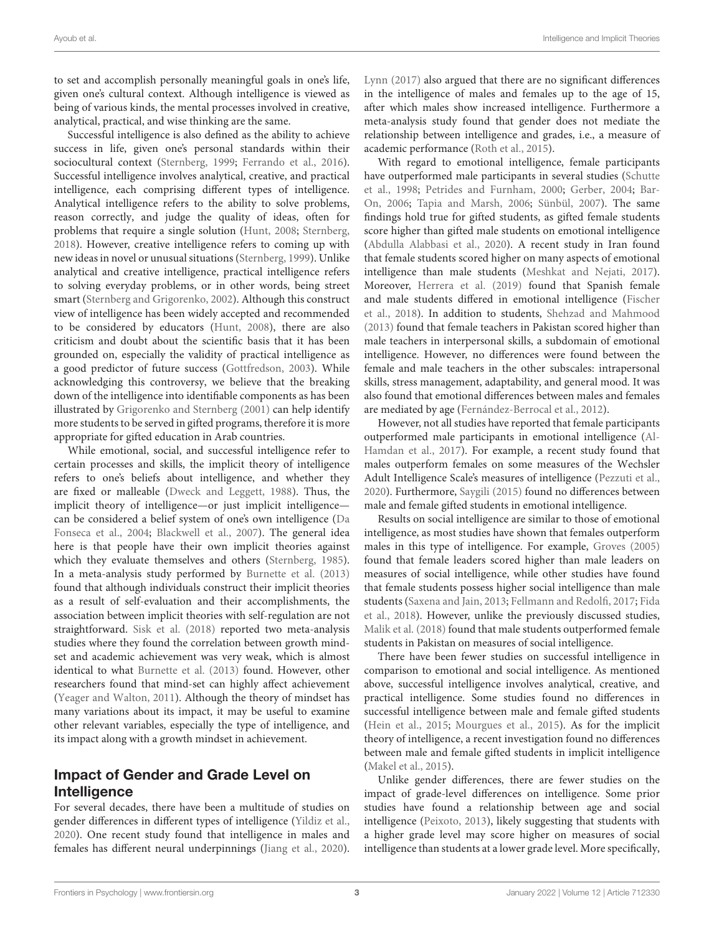to set and accomplish personally meaningful goals in one's life, given one's cultural context. Although intelligence is viewed as being of various kinds, the mental processes involved in creative, analytical, practical, and wise thinking are the same.

Successful intelligence is also defined as the ability to achieve success in life, given one's personal standards within their sociocultural context [\(Sternberg,](#page-10-8) [1999;](#page-10-8) [Ferrando et al.,](#page-8-23) [2016\)](#page-8-23). Successful intelligence involves analytical, creative, and practical intelligence, each comprising different types of intelligence. Analytical intelligence refers to the ability to solve problems, reason correctly, and judge the quality of ideas, often for problems that require a single solution [\(Hunt,](#page-8-24) [2008;](#page-8-24) [Sternberg,](#page-10-9) [2018\)](#page-10-9). However, creative intelligence refers to coming up with new ideas in novel or unusual situations [\(Sternberg,](#page-10-8) [1999\)](#page-10-8). Unlike analytical and creative intelligence, practical intelligence refers to solving everyday problems, or in other words, being street smart [\(Sternberg and Grigorenko,](#page-10-10) [2002\)](#page-10-10). Although this construct view of intelligence has been widely accepted and recommended to be considered by educators [\(Hunt,](#page-8-24) [2008\)](#page-8-24), there are also criticism and doubt about the scientific basis that it has been grounded on, especially the validity of practical intelligence as a good predictor of future success [\(Gottfredson,](#page-8-25) [2003\)](#page-8-25). While acknowledging this controversy, we believe that the breaking down of the intelligence into identifiable components as has been illustrated by [Grigorenko and Sternberg](#page-8-7) [\(2001\)](#page-8-7) can help identify more students to be served in gifted programs, therefore it is more appropriate for gifted education in Arab countries.

While emotional, social, and successful intelligence refer to certain processes and skills, the implicit theory of intelligence refers to one's beliefs about intelligence, and whether they are fixed or malleable [\(Dweck and Leggett,](#page-8-26) [1988\)](#page-8-26). Thus, the implicit theory of intelligence—or just implicit intelligence can be considered a belief system of one's own intelligence [\(Da](#page-8-27) [Fonseca et al.,](#page-8-27) [2004;](#page-8-27) [Blackwell et al.,](#page-7-1) [2007\)](#page-7-1). The general idea here is that people have their own implicit theories against which they evaluate themselves and others [\(Sternberg,](#page-10-11) [1985\)](#page-10-11). In a meta-analysis study performed by [Burnette et al.](#page-7-4) [\(2013\)](#page-7-4) found that although individuals construct their implicit theories as a result of self-evaluation and their accomplishments, the association between implicit theories with self-regulation are not straightforward. [Sisk et al.](#page-9-16) [\(2018\)](#page-9-16) reported two meta-analysis studies where they found the correlation between growth mindset and academic achievement was very weak, which is almost identical to what [Burnette et al.](#page-7-4) [\(2013\)](#page-7-4) found. However, other researchers found that mind-set can highly affect achievement [\(Yeager and Walton,](#page-10-12) [2011\)](#page-10-12). Although the theory of mindset has many variations about its impact, it may be useful to examine other relevant variables, especially the type of intelligence, and its impact along with a growth mindset in achievement.

### Impact of Gender and Grade Level on Intelligence

For several decades, there have been a multitude of studies on gender differences in different types of intelligence [\(Yildiz et al.,](#page-10-2) [2020\)](#page-10-2). One recent study found that intelligence in males and females has different neural underpinnings [\(Jiang et al.,](#page-8-28) [2020\)](#page-8-28).

[Lynn](#page-9-17) [\(2017\)](#page-9-17) also argued that there are no significant differences in the intelligence of males and females up to the age of 15, after which males show increased intelligence. Furthermore a meta-analysis study found that gender does not mediate the relationship between intelligence and grades, i.e., a measure of academic performance [\(Roth et al.,](#page-9-18) [2015\)](#page-9-18).

With regard to emotional intelligence, female participants have outperformed male participants in several studies [\(Schutte](#page-9-19) [et al.,](#page-9-19) [1998;](#page-9-19) [Petrides and Furnham,](#page-9-20) [2000;](#page-9-20) [Gerber,](#page-8-29) [2004;](#page-8-29) [Bar-](#page-7-11)[On,](#page-7-11) [2006;](#page-7-11) [Tapia and Marsh,](#page-10-13) [2006;](#page-10-13) [Sünbül,](#page-10-14) [2007\)](#page-10-14). The same findings hold true for gifted students, as gifted female students score higher than gifted male students on emotional intelligence [\(Abdulla Alabbasi et al.,](#page-7-12) [2020\)](#page-7-12). A recent study in Iran found that female students scored higher on many aspects of emotional intelligence than male students [\(Meshkat and Nejati,](#page-9-21) [2017\)](#page-9-21). Moreover, [Herrera et al.](#page-8-30) [\(2019\)](#page-8-30) found that Spanish female and male students differed in emotional intelligence [\(Fischer](#page-8-31) [et al.,](#page-8-31) [2018\)](#page-8-31). In addition to students, [Shehzad and Mahmood](#page-9-22) [\(2013\)](#page-9-22) found that female teachers in Pakistan scored higher than male teachers in interpersonal skills, a subdomain of emotional intelligence. However, no differences were found between the female and male teachers in the other subscales: intrapersonal skills, stress management, adaptability, and general mood. It was also found that emotional differences between males and females are mediated by age [\(Fernández-Berrocal et al.,](#page-8-32) [2012\)](#page-8-32).

However, not all studies have reported that female participants outperformed male participants in emotional intelligence [\(Al-](#page-7-13)[Hamdan et al.,](#page-7-13) [2017\)](#page-7-13). For example, a recent study found that males outperform females on some measures of the Wechsler Adult Intelligence Scale's measures of intelligence [\(Pezzuti et al.,](#page-9-23) [2020\)](#page-9-23). Furthermore, [Saygili](#page-9-24) [\(2015\)](#page-9-24) found no differences between male and female gifted students in emotional intelligence.

Results on social intelligence are similar to those of emotional intelligence, as most studies have shown that females outperform males in this type of intelligence. For example, [Groves](#page-8-33) [\(2005\)](#page-8-33) found that female leaders scored higher than male leaders on measures of social intelligence, while other studies have found that female students possess higher social intelligence than male students [\(Saxena and Jain,](#page-9-25) [2013;](#page-9-25) [Fellmann and Redolfi,](#page-8-34) [2017;](#page-8-34) [Fida](#page-8-35) [et al.,](#page-8-35) [2018\)](#page-8-35). However, unlike the previously discussed studies, [Malik et al.](#page-9-26) [\(2018\)](#page-9-26) found that male students outperformed female students in Pakistan on measures of social intelligence.

There have been fewer studies on successful intelligence in comparison to emotional and social intelligence. As mentioned above, successful intelligence involves analytical, creative, and practical intelligence. Some studies found no differences in successful intelligence between male and female gifted students [\(Hein et al.,](#page-8-36) [2015;](#page-8-36) [Mourgues et al.,](#page-9-27) [2015\)](#page-9-27). As for the implicit theory of intelligence, a recent investigation found no differences between male and female gifted students in implicit intelligence [\(Makel et al.,](#page-9-28) [2015\)](#page-9-28).

Unlike gender differences, there are fewer studies on the impact of grade-level differences on intelligence. Some prior studies have found a relationship between age and social intelligence [\(Peixoto,](#page-9-29) [2013\)](#page-9-29), likely suggesting that students with a higher grade level may score higher on measures of social intelligence than students at a lower grade level. More specifically,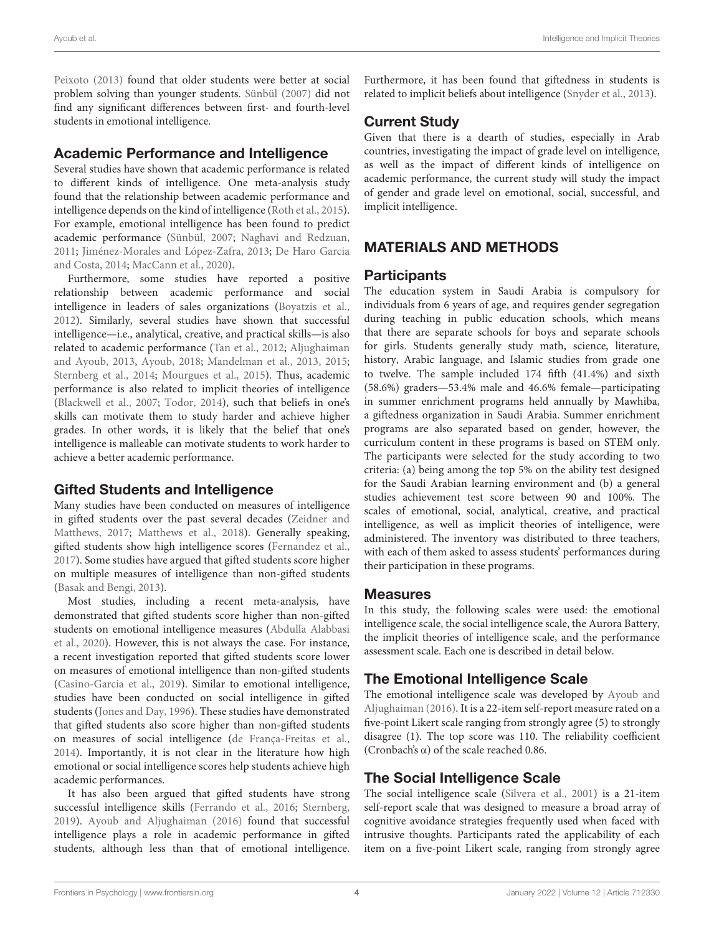[Peixoto](#page-9-29) [\(2013\)](#page-9-29) found that older students were better at social problem solving than younger students. [Sünbül](#page-10-14) [\(2007\)](#page-10-14) did not find any significant differences between first- and fourth-level students in emotional intelligence.

#### Academic Performance and Intelligence

Several studies have shown that academic performance is related to different kinds of intelligence. One meta-analysis study found that the relationship between academic performance and intelligence depends on the kind of intelligence [\(Roth et al.,](#page-9-18) [2015\)](#page-9-18). For example, emotional intelligence has been found to predict academic performance [\(Sünbül,](#page-10-14) [2007;](#page-10-14) [Naghavi and Redzuan,](#page-9-30) [2011;](#page-9-30) [Jiménez-Morales and López-Zafra,](#page-9-31) [2013;](#page-9-31) [De Haro Garcia](#page-8-37) [and Costa,](#page-8-37) [2014;](#page-8-37) [MacCann et al.,](#page-9-11) [2020\)](#page-9-11).

Furthermore, some studies have reported a positive relationship between academic performance and social intelligence in leaders of sales organizations [\(Boyatzis et al.,](#page-7-14) [2012\)](#page-7-14). Similarly, several studies have shown that successful intelligence—i.e., analytical, creative, and practical skills—is also related to academic performance [\(Tan et al.,](#page-10-15) [2012;](#page-10-15) [Aljughaiman](#page-7-15) [and Ayoub,](#page-7-15) [2013,](#page-7-15) [Ayoub,](#page-7-16) [2018;](#page-7-16) [Mandelman et al.,](#page-9-32) [2013,](#page-9-32) [2015;](#page-9-33) [Sternberg et al.,](#page-10-16) [2014;](#page-10-16) [Mourgues et al.,](#page-9-27) [2015\)](#page-9-27). Thus, academic performance is also related to implicit theories of intelligence [\(Blackwell et al.,](#page-7-1) [2007;](#page-7-1) [Todor,](#page-10-17) [2014\)](#page-10-17), such that beliefs in one's skills can motivate them to study harder and achieve higher grades. In other words, it is likely that the belief that one's intelligence is malleable can motivate students to work harder to achieve a better academic performance.

#### Gifted Students and Intelligence

Many studies have been conducted on measures of intelligence in gifted students over the past several decades [\(Zeidner and](#page-10-6) [Matthews,](#page-10-6) [2017;](#page-10-6) [Matthews et al.,](#page-9-14) [2018\)](#page-9-14). Generally speaking, gifted students show high intelligence scores [\(Fernandez et al.,](#page-8-38) [2017\)](#page-8-38). Some studies have argued that gifted students score higher on multiple measures of intelligence than non-gifted students [\(Basak and Bengi,](#page-7-17) [2013\)](#page-7-17).

Most studies, including a recent meta-analysis, have demonstrated that gifted students score higher than non-gifted students on emotional intelligence measures [\(Abdulla Alabbasi](#page-7-12) [et al.,](#page-7-12) [2020\)](#page-7-12). However, this is not always the case. For instance, a recent investigation reported that gifted students score lower on measures of emotional intelligence than non-gifted students [\(Casino-Garcia et al.,](#page-7-18) [2019\)](#page-7-18). Similar to emotional intelligence, studies have been conducted on social intelligence in gifted students [\(Jones and Day,](#page-9-34) [1996\)](#page-9-34). These studies have demonstrated that gifted students also score higher than non-gifted students on measures of social intelligence [\(de França-Freitas et al.,](#page-8-39) [2014\)](#page-8-39). Importantly, it is not clear in the literature how high emotional or social intelligence scores help students achieve high academic performances.

It has also been argued that gifted students have strong successful intelligence skills [\(Ferrando et al.,](#page-8-23) [2016;](#page-8-23) [Sternberg,](#page-10-18) [2019\)](#page-10-18). [Ayoub and Aljughaiman](#page-7-8) [\(2016\)](#page-7-8) found that successful intelligence plays a role in academic performance in gifted students, although less than that of emotional intelligence.

Furthermore, it has been found that giftedness in students is related to implicit beliefs about intelligence [\(Snyder et al.,](#page-10-19) [2013\)](#page-10-19).

# Current Study

Given that there is a dearth of studies, especially in Arab countries, investigating the impact of grade level on intelligence, as well as the impact of different kinds of intelligence on academic performance, the current study will study the impact of gender and grade level on emotional, social, successful, and implicit intelligence.

# MATERIALS AND METHODS

#### Participants

The education system in Saudi Arabia is compulsory for individuals from 6 years of age, and requires gender segregation during teaching in public education schools, which means that there are separate schools for boys and separate schools for girls. Students generally study math, science, literature, history, Arabic language, and Islamic studies from grade one to twelve. The sample included 174 fifth (41.4%) and sixth (58.6%) graders—53.4% male and 46.6% female—participating in summer enrichment programs held annually by Mawhiba, a giftedness organization in Saudi Arabia. Summer enrichment programs are also separated based on gender, however, the curriculum content in these programs is based on STEM only. The participants were selected for the study according to two criteria: (a) being among the top 5% on the ability test designed for the Saudi Arabian learning environment and (b) a general studies achievement test score between 90 and 100%. The scales of emotional, social, analytical, creative, and practical intelligence, as well as implicit theories of intelligence, were administered. The inventory was distributed to three teachers, with each of them asked to assess students' performances during their participation in these programs.

### **Measures**

In this study, the following scales were used: the emotional intelligence scale, the social intelligence scale, the Aurora Battery, the implicit theories of intelligence scale, and the performance assessment scale. Each one is described in detail below.

# The Emotional Intelligence Scale

The emotional intelligence scale was developed by [Ayoub and](#page-7-8) [Aljughaiman](#page-7-8) [\(2016\)](#page-7-8). It is a 22-item self-report measure rated on a five-point Likert scale ranging from strongly agree (5) to strongly disagree (1). The top score was 110. The reliability coefficient (Cronbach's α) of the scale reached 0.86.

# The Social Intelligence Scale

The social intelligence scale [\(Silvera et al.,](#page-9-35) [2001\)](#page-9-35) is a 21-item self-report scale that was designed to measure a broad array of cognitive avoidance strategies frequently used when faced with intrusive thoughts. Participants rated the applicability of each item on a five-point Likert scale, ranging from strongly agree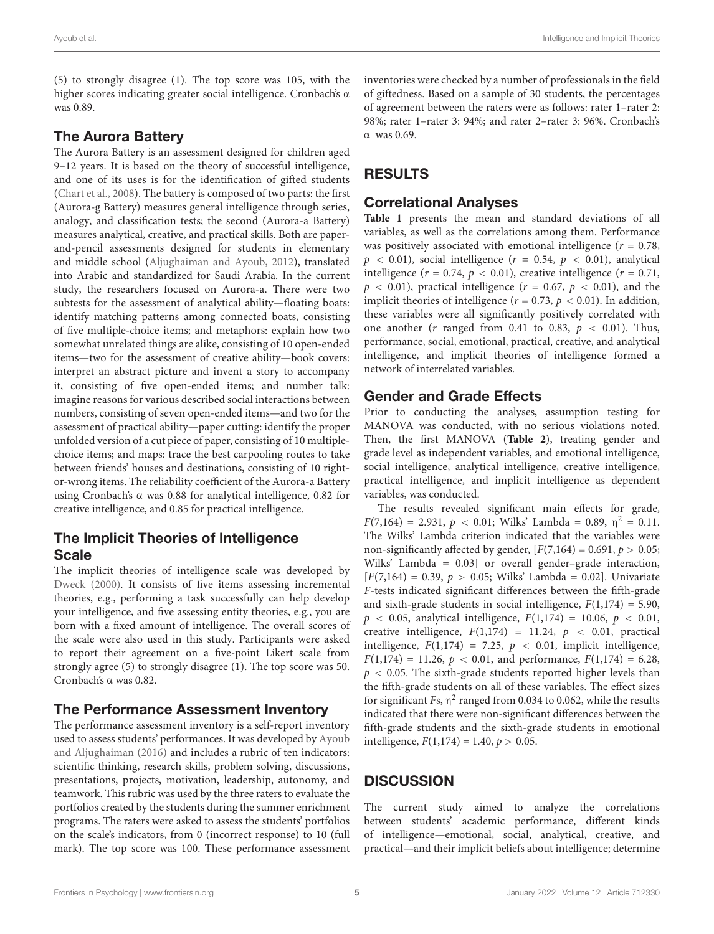(5) to strongly disagree (1). The top score was 105, with the higher scores indicating greater social intelligence. Cronbach's α was 0.89.

#### The Aurora Battery

The Aurora Battery is an assessment designed for children aged 9–12 years. It is based on the theory of successful intelligence, and one of its uses is for the identification of gifted students [\(Chart et al.,](#page-7-19) [2008\)](#page-7-19). The battery is composed of two parts: the first (Aurora-g Battery) measures general intelligence through series, analogy, and classification tests; the second (Aurora-a Battery) measures analytical, creative, and practical skills. Both are paperand-pencil assessments designed for students in elementary and middle school [\(Aljughaiman and Ayoub,](#page-7-20) [2012\)](#page-7-20), translated into Arabic and standardized for Saudi Arabia. In the current study, the researchers focused on Aurora-a. There were two subtests for the assessment of analytical ability—floating boats: identify matching patterns among connected boats, consisting of five multiple-choice items; and metaphors: explain how two somewhat unrelated things are alike, consisting of 10 open-ended items—two for the assessment of creative ability—book covers: interpret an abstract picture and invent a story to accompany it, consisting of five open-ended items; and number talk: imagine reasons for various described social interactions between numbers, consisting of seven open-ended items—and two for the assessment of practical ability—paper cutting: identify the proper unfolded version of a cut piece of paper, consisting of 10 multiplechoice items; and maps: trace the best carpooling routes to take between friends' houses and destinations, consisting of 10 rightor-wrong items. The reliability coefficient of the Aurora-a Battery using Cronbach's α was 0.88 for analytical intelligence, 0.82 for creative intelligence, and 0.85 for practical intelligence.

#### The Implicit Theories of Intelligence **Scale**

The implicit theories of intelligence scale was developed by [Dweck](#page-8-40) [\(2000\)](#page-8-40). It consists of five items assessing incremental theories, e.g., performing a task successfully can help develop your intelligence, and five assessing entity theories, e.g., you are born with a fixed amount of intelligence. The overall scores of the scale were also used in this study. Participants were asked to report their agreement on a five-point Likert scale from strongly agree (5) to strongly disagree (1). The top score was 50. Cronbach's α was 0.82.

#### The Performance Assessment Inventory

The performance assessment inventory is a self-report inventory used to assess students' performances. It was developed by [Ayoub](#page-7-8) [and Aljughaiman](#page-7-8) [\(2016\)](#page-7-8) and includes a rubric of ten indicators: scientific thinking, research skills, problem solving, discussions, presentations, projects, motivation, leadership, autonomy, and teamwork. This rubric was used by the three raters to evaluate the portfolios created by the students during the summer enrichment programs. The raters were asked to assess the students' portfolios on the scale's indicators, from 0 (incorrect response) to 10 (full mark). The top score was 100. These performance assessment

inventories were checked by a number of professionals in the field of giftedness. Based on a sample of 30 students, the percentages of agreement between the raters were as follows: rater 1–rater 2: 98%; rater 1–rater 3: 94%; and rater 2–rater 3: 96%. Cronbach's α was 0.69.

# RESULTS

### Correlational Analyses

**[Table 1](#page-5-0)** presents the mean and standard deviations of all variables, as well as the correlations among them. Performance was positively associated with emotional intelligence  $(r = 0.78,$  $p < 0.01$ ), social intelligence ( $r = 0.54$ ,  $p < 0.01$ ), analytical intelligence ( $r = 0.74$ ,  $p < 0.01$ ), creative intelligence ( $r = 0.71$ ,  $p < 0.01$ ), practical intelligence ( $r = 0.67$ ,  $p < 0.01$ ), and the implicit theories of intelligence ( $r = 0.73$ ,  $p < 0.01$ ). In addition, these variables were all significantly positively correlated with one another ( $r$  ranged from 0.41 to 0.83,  $p < 0.01$ ). Thus, performance, social, emotional, practical, creative, and analytical intelligence, and implicit theories of intelligence formed a network of interrelated variables.

### Gender and Grade Effects

Prior to conducting the analyses, assumption testing for MANOVA was conducted, with no serious violations noted. Then, the first MANOVA (**[Table 2](#page-6-0)**), treating gender and grade level as independent variables, and emotional intelligence, social intelligence, analytical intelligence, creative intelligence, practical intelligence, and implicit intelligence as dependent variables, was conducted.

The results revealed significant main effects for grade,  $F(7,164) = 2.931, p < 0.01$ ; Wilks' Lambda = 0.89,  $\eta^2 = 0.11$ . The Wilks' Lambda criterion indicated that the variables were non-significantly affected by gender,  $[F(7,164) = 0.691, p > 0.05;$ Wilks' Lambda = 0.03] or overall gender–grade interaction,  $[F(7,164) = 0.39, p > 0.05; Wilks' Lambda = 0.02]. Univariate$ F-tests indicated significant differences between the fifth-grade and sixth-grade students in social intelligence,  $F(1,174) = 5.90$ ,  $p$  < 0.05, analytical intelligence,  $F(1,174) = 10.06, p$  < 0.01, creative intelligence,  $F(1,174) = 11.24$ ,  $p < 0.01$ , practical intelligence,  $F(1,174) = 7.25$ ,  $p < 0.01$ , implicit intelligence,  $F(1,174) = 11.26, p < 0.01,$  and performance,  $F(1,174) = 6.28$ ,  $p < 0.05$ . The sixth-grade students reported higher levels than the fifth-grade students on all of these variables. The effect sizes for significant Fs,  $\eta^2$  ranged from 0.034 to 0.062, while the results indicated that there were non-significant differences between the fifth-grade students and the sixth-grade students in emotional intelligence,  $F(1,174) = 1.40, p > 0.05$ .

# **DISCUSSION**

The current study aimed to analyze the correlations between students' academic performance, different kinds of intelligence—emotional, social, analytical, creative, and practical—and their implicit beliefs about intelligence; determine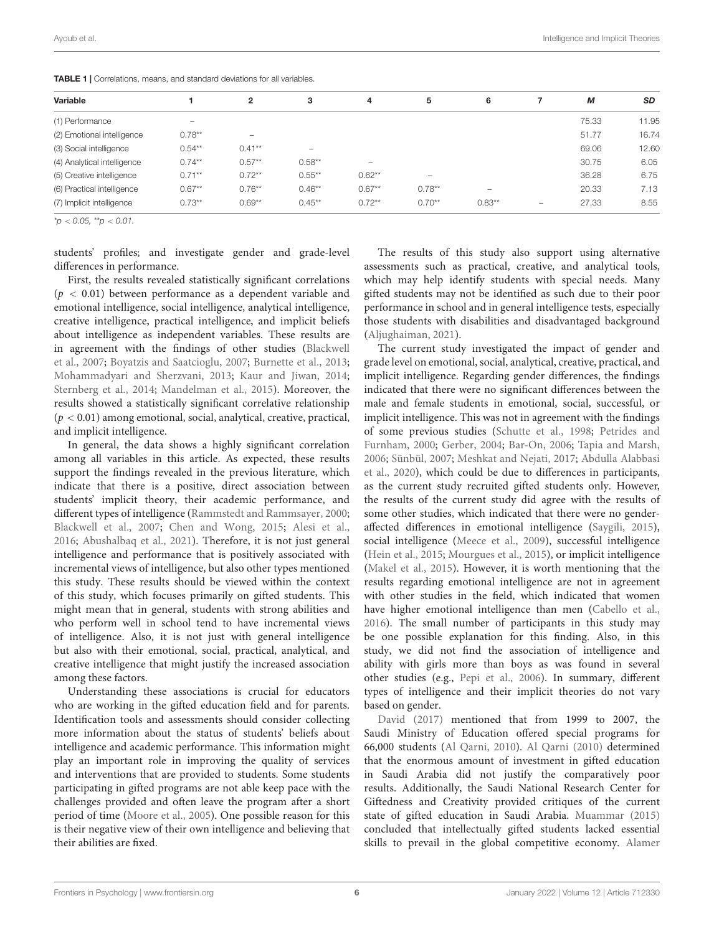| Variable                    |           | $\mathbf{2}$             | 3                        | 4         | 5         | 6                        |   | М     | <b>SD</b> |
|-----------------------------|-----------|--------------------------|--------------------------|-----------|-----------|--------------------------|---|-------|-----------|
| (1) Performance             | -         |                          |                          |           |           |                          |   | 75.33 | 11.95     |
| (2) Emotional intelligence  | $0.78***$ | $\overline{\phantom{a}}$ |                          |           |           |                          |   | 51.77 | 16.74     |
| (3) Social intelligence     | $0.54***$ | $0.41**$                 | $\overline{\phantom{a}}$ |           |           |                          |   | 69.06 | 12.60     |
| (4) Analytical intelligence | $0.74***$ | $0.57**$                 | $0.58**$                 | -         |           |                          |   | 30.75 | 6.05      |
| (5) Creative intelligence   | $0.71**$  | $0.72***$                | $0.55***$                | $0.62***$ | -         |                          |   | 36.28 | 6.75      |
| (6) Practical intelligence  | $0.67**$  | $0.76***$                | $0.46**$                 | $0.67**$  | $0.78***$ | $\overline{\phantom{a}}$ |   | 20.33 | 7.13      |
| (7) Implicit intelligence   | $0.73**$  | $0.69**$                 | $0.45**$                 | $0.72**$  | $0.70**$  | $0.83**$                 | - | 27.33 | 8.55      |

<span id="page-5-0"></span>TABLE 1 | Correlations, means, and standard deviations for all variables.

 $*_{\mathcal{D}} < 0.05$ ,  $*_{\mathcal{D}} < 0.01$ .

students' profiles; and investigate gender and grade-level differences in performance.

First, the results revealed statistically significant correlations  $(p < 0.01)$  between performance as a dependent variable and emotional intelligence, social intelligence, analytical intelligence, creative intelligence, practical intelligence, and implicit beliefs about intelligence as independent variables. These results are in agreement with the findings of other studies [\(Blackwell](#page-7-1) [et al.,](#page-7-1) [2007;](#page-7-1) [Boyatzis and Saatcioglu,](#page-7-21) [2007;](#page-7-21) [Burnette et al.,](#page-7-4) [2013;](#page-7-4) [Mohammadyari and Sherzvani,](#page-9-36) [2013;](#page-9-36) [Kaur and Jiwan,](#page-9-37) [2014;](#page-9-37) [Sternberg et al.,](#page-10-16) [2014;](#page-10-16) [Mandelman et al.,](#page-9-33) [2015\)](#page-9-33). Moreover, the results showed a statistically significant correlative relationship  $(p < 0.01)$  among emotional, social, analytical, creative, practical, and implicit intelligence.

In general, the data shows a highly significant correlation among all variables in this article. As expected, these results support the findings revealed in the previous literature, which indicate that there is a positive, direct association between students' implicit theory, their academic performance, and different types of intelligence [\(Rammstedt and Rammsayer,](#page-9-38) [2000;](#page-9-38) [Blackwell et al.,](#page-7-1) [2007;](#page-7-1) [Chen and Wong,](#page-7-2) [2015;](#page-7-2) [Alesi et al.,](#page-7-22) [2016;](#page-7-22) [Abushalbaq et al.,](#page-7-23) [2021\)](#page-7-23). Therefore, it is not just general intelligence and performance that is positively associated with incremental views of intelligence, but also other types mentioned this study. These results should be viewed within the context of this study, which focuses primarily on gifted students. This might mean that in general, students with strong abilities and who perform well in school tend to have incremental views of intelligence. Also, it is not just with general intelligence but also with their emotional, social, practical, analytical, and creative intelligence that might justify the increased association among these factors.

Understanding these associations is crucial for educators who are working in the gifted education field and for parents. Identification tools and assessments should consider collecting more information about the status of students' beliefs about intelligence and academic performance. This information might play an important role in improving the quality of services and interventions that are provided to students. Some students participating in gifted programs are not able keep pace with the challenges provided and often leave the program after a short period of time [\(Moore et al.,](#page-9-39) [2005\)](#page-9-39). One possible reason for this is their negative view of their own intelligence and believing that their abilities are fixed.

The results of this study also support using alternative assessments such as practical, creative, and analytical tools, which may help identify students with special needs. Many gifted students may not be identified as such due to their poor performance in school and in general intelligence tests, especially those students with disabilities and disadvantaged background [\(Aljughaiman,](#page-7-24) [2021\)](#page-7-24).

The current study investigated the impact of gender and grade level on emotional, social, analytical, creative, practical, and implicit intelligence. Regarding gender differences, the findings indicated that there were no significant differences between the male and female students in emotional, social, successful, or implicit intelligence. This was not in agreement with the findings of some previous studies [\(Schutte et al.,](#page-9-19) [1998;](#page-9-19) [Petrides and](#page-9-20) [Furnham,](#page-9-20) [2000;](#page-9-20) [Gerber,](#page-8-29) [2004;](#page-8-29) [Bar-On,](#page-7-11) [2006;](#page-7-11) [Tapia and Marsh,](#page-10-13) [2006;](#page-10-13) [Sünbül,](#page-10-14) [2007;](#page-10-14) [Meshkat and Nejati,](#page-9-21) [2017;](#page-9-21) [Abdulla Alabbasi](#page-7-12) [et al.,](#page-7-12) [2020\)](#page-7-12), which could be due to differences in participants, as the current study recruited gifted students only. However, the results of the current study did agree with the results of some other studies, which indicated that there were no genderaffected differences in emotional intelligence [\(Saygili,](#page-9-24) [2015\)](#page-9-24), social intelligence [\(Meece et al.,](#page-9-40) [2009\)](#page-9-40), successful intelligence [\(Hein et al.,](#page-8-36) [2015;](#page-8-36) [Mourgues et al.,](#page-9-27) [2015\)](#page-9-27), or implicit intelligence [\(Makel et al.,](#page-9-28) [2015\)](#page-9-28). However, it is worth mentioning that the results regarding emotional intelligence are not in agreement with other studies in the field, which indicated that women have higher emotional intelligence than men [\(Cabello et al.,](#page-7-25) [2016\)](#page-7-25). The small number of participants in this study may be one possible explanation for this finding. Also, in this study, we did not find the association of intelligence and ability with girls more than boys as was found in several other studies (e.g., [Pepi et al.,](#page-9-41) [2006\)](#page-9-41). In summary, different types of intelligence and their implicit theories do not vary based on gender.

[David](#page-8-41) [\(2017\)](#page-8-41) mentioned that from 1999 to 2007, the Saudi Ministry of Education offered special programs for 66,000 students [\(Al Qarni,](#page-7-26) [2010\)](#page-7-26). [Al Qarni](#page-7-26) [\(2010\)](#page-7-26) determined that the enormous amount of investment in gifted education in Saudi Arabia did not justify the comparatively poor results. Additionally, the Saudi National Research Center for Giftedness and Creativity provided critiques of the current state of gifted education in Saudi Arabia. [Muammar](#page-9-42) [\(2015\)](#page-9-42) concluded that intellectually gifted students lacked essential skills to prevail in the global competitive economy. [Alamer](#page-7-27)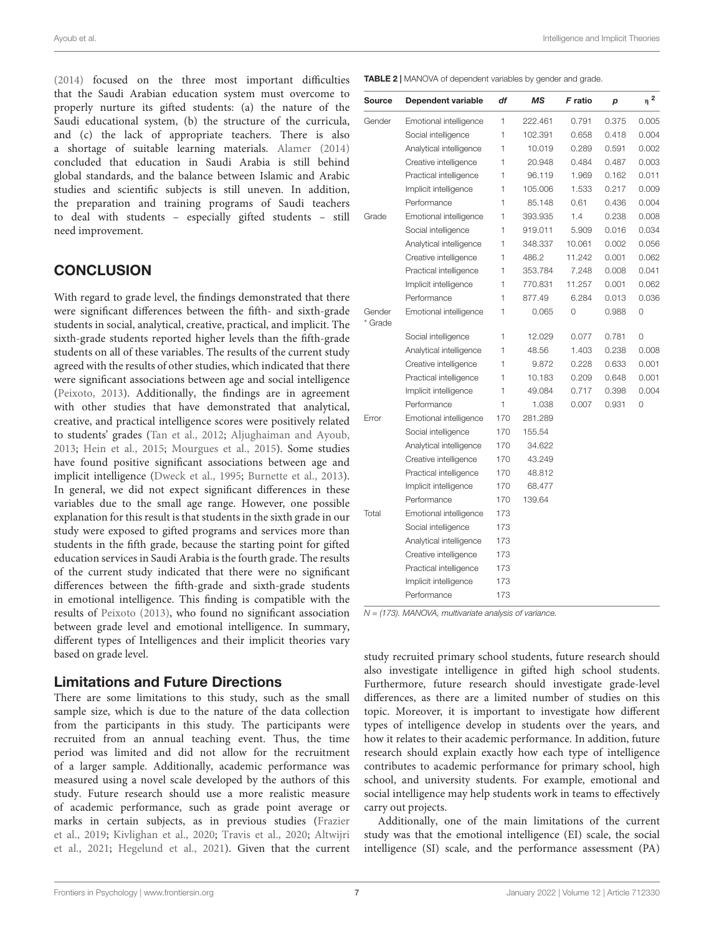Ayoub et al. Intelligence and Implicit Theories

[\(2014\)](#page-7-27) focused on the three most important difficulties that the Saudi Arabian education system must overcome to properly nurture its gifted students: (a) the nature of the Saudi educational system, (b) the structure of the curricula, and (c) the lack of appropriate teachers. There is also a shortage of suitable learning materials. [Alamer](#page-7-27) [\(2014\)](#page-7-27) concluded that education in Saudi Arabia is still behind global standards, and the balance between Islamic and Arabic studies and scientific subjects is still uneven. In addition, the preparation and training programs of Saudi teachers to deal with students – especially gifted students – still need improvement.

# **CONCLUSION**

With regard to grade level, the findings demonstrated that there were significant differences between the fifth- and sixth-grade students in social, analytical, creative, practical, and implicit. The sixth-grade students reported higher levels than the fifth-grade students on all of these variables. The results of the current study agreed with the results of other studies, which indicated that there were significant associations between age and social intelligence [\(Peixoto,](#page-9-29) [2013\)](#page-9-29). Additionally, the findings are in agreement with other studies that have demonstrated that analytical, creative, and practical intelligence scores were positively related to students' grades [\(Tan et al.,](#page-10-15) [2012;](#page-10-15) [Aljughaiman and Ayoub,](#page-7-15) [2013;](#page-7-15) [Hein et al.,](#page-8-36) [2015;](#page-8-36) [Mourgues et al.,](#page-9-27) [2015\)](#page-9-27). Some studies have found positive significant associations between age and implicit intelligence [\(Dweck et al.,](#page-8-42) [1995;](#page-8-42) [Burnette et al.,](#page-7-4) [2013\)](#page-7-4). In general, we did not expect significant differences in these variables due to the small age range. However, one possible explanation for this result is that students in the sixth grade in our study were exposed to gifted programs and services more than students in the fifth grade, because the starting point for gifted education services in Saudi Arabia is the fourth grade. The results of the current study indicated that there were no significant differences between the fifth-grade and sixth-grade students in emotional intelligence. This finding is compatible with the results of [Peixoto](#page-9-29) [\(2013\)](#page-9-29), who found no significant association between grade level and emotional intelligence. In summary, different types of Intelligences and their implicit theories vary based on grade level.

### Limitations and Future Directions

There are some limitations to this study, such as the small sample size, which is due to the nature of the data collection from the participants in this study. The participants were recruited from an annual teaching event. Thus, the time period was limited and did not allow for the recruitment of a larger sample. Additionally, academic performance was measured using a novel scale developed by the authors of this study. Future research should use a more realistic measure of academic performance, such as grade point average or marks in certain subjects, as in previous studies [\(Frazier](#page-8-43) [et al.,](#page-8-43) [2019;](#page-8-43) [Kivlighan et al.,](#page-9-43) [2020;](#page-9-43) [Travis et al.,](#page-10-20) [2020;](#page-10-20) [Altwijri](#page-7-28) [et al.,](#page-7-28) [2021;](#page-7-28) [Hegelund et al.,](#page-8-44) [2021\)](#page-8-44). Given that the current

<span id="page-6-0"></span>

| <b>Source</b>     | Dependent variable      | df  | ΜS      | F ratio | p     | $_\eta$ 2 |
|-------------------|-------------------------|-----|---------|---------|-------|-----------|
| Gender            | Emotional intelligence  | 1   | 222.461 | 0.791   | 0.375 | 0.005     |
|                   | Social intelligence     | 1   | 102.391 | 0.658   | 0.418 | 0.004     |
|                   | Analytical intelligence | 1   | 10.019  | 0.289   | 0.591 | 0.002     |
|                   | Creative intelligence   | 1   | 20.948  | 0.484   | 0.487 | 0.003     |
|                   | Practical intelligence  | 1   | 96.119  | 1.969   | 0.162 | 0.011     |
|                   | Implicit intelligence   | 1   | 105.006 | 1.533   | 0.217 | 0.009     |
|                   | Performance             | 1   | 85.148  | 0.61    | 0.436 | 0.004     |
| Grade             | Emotional intelligence  | 1   | 393.935 | 1.4     | 0.238 | 0.008     |
|                   | Social intelligence     | 1   | 919.011 | 5.909   | 0.016 | 0.034     |
|                   | Analytical intelligence | 1   | 348.337 | 10.061  | 0.002 | 0.056     |
|                   | Creative intelligence   | 1   | 486.2   | 11.242  | 0.001 | 0.062     |
|                   | Practical intelligence  | 1   | 353.784 | 7.248   | 0.008 | 0.041     |
|                   | Implicit intelligence   | 1   | 770.831 | 11.257  | 0.001 | 0.062     |
|                   | Performance             | 1   | 877.49  | 6.284   | 0.013 | 0.036     |
| Gender<br>* Grade | Emotional intelligence  | 1   | 0.065   | 0       | 0.988 | 0         |
|                   | Social intelligence     | 1   | 12.029  | 0.077   | 0.781 | 0         |
|                   | Analytical intelligence | 1   | 48.56   | 1.403   | 0.238 | 0.008     |
|                   | Creative intelligence   | 1   | 9.872   | 0.228   | 0.633 | 0.001     |
|                   | Practical intelligence  | 1   | 10.183  | 0.209   | 0.648 | 0.001     |
|                   | Implicit intelligence   | 1   | 49.084  | 0.717   | 0.398 | 0.004     |
|                   | Performance             | 1   | 1.038   | 0.007   | 0.931 | 0         |
| Error             | Emotional intelligence  | 170 | 281.289 |         |       |           |
|                   | Social intelligence     | 170 | 155.54  |         |       |           |
|                   | Analytical intelligence | 170 | 34.622  |         |       |           |
|                   | Creative intelligence   | 170 | 43.249  |         |       |           |
|                   | Practical intelligence  | 170 | 48.812  |         |       |           |
|                   | Implicit intelligence   | 170 | 68.477  |         |       |           |
|                   | Performance             | 170 | 139.64  |         |       |           |
| Total             | Emotional intelligence  | 173 |         |         |       |           |
|                   | Social intelligence     | 173 |         |         |       |           |
|                   | Analytical intelligence | 173 |         |         |       |           |
|                   | Creative intelligence   | 173 |         |         |       |           |
|                   | Practical intelligence  | 173 |         |         |       |           |
|                   | Implicit intelligence   | 173 |         |         |       |           |
|                   | Performance             | 173 |         |         |       |           |

 $N = (173)$ . MANOVA, multivariate analysis of variance.

study recruited primary school students, future research should also investigate intelligence in gifted high school students. Furthermore, future research should investigate grade-level differences, as there are a limited number of studies on this topic. Moreover, it is important to investigate how different types of intelligence develop in students over the years, and how it relates to their academic performance. In addition, future research should explain exactly how each type of intelligence contributes to academic performance for primary school, high school, and university students. For example, emotional and social intelligence may help students work in teams to effectively carry out projects.

Additionally, one of the main limitations of the current study was that the emotional intelligence (EI) scale, the social intelligence (SI) scale, and the performance assessment (PA)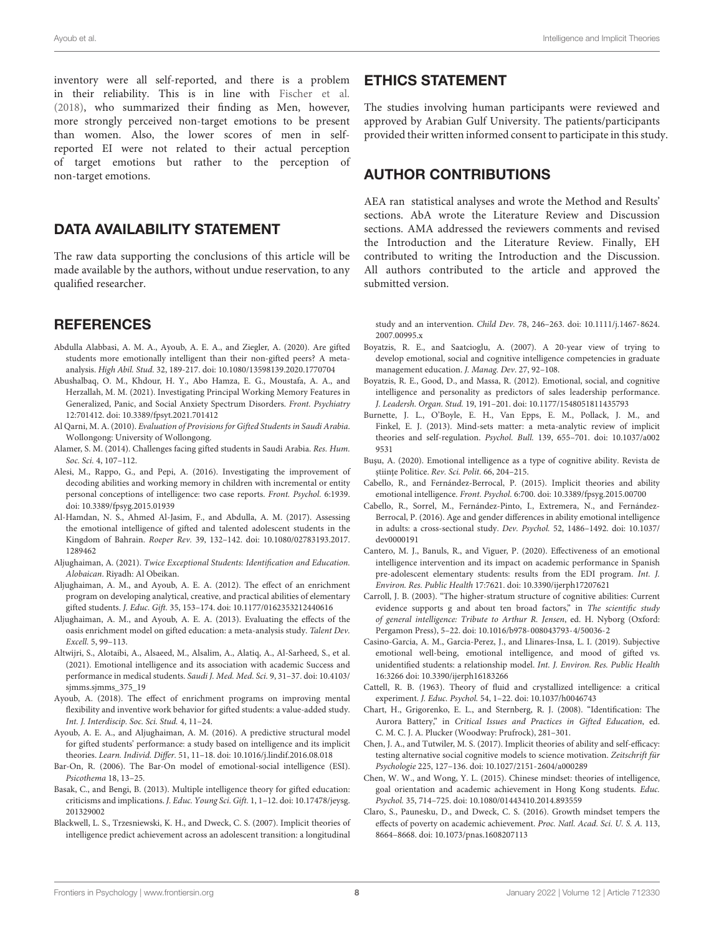inventory were all self-reported, and there is a problem in their reliability. This is in line with [Fischer et al.](#page-8-31) [\(2018\)](#page-8-31), who summarized their finding as Men, however, more strongly perceived non-target emotions to be present than women. Also, the lower scores of men in selfreported EI were not related to their actual perception of target emotions but rather to the perception of non-target emotions.

# DATA AVAILABILITY STATEMENT

The raw data supporting the conclusions of this article will be made available by the authors, without undue reservation, to any qualified researcher.

### **REFERENCES**

- <span id="page-7-12"></span>Abdulla Alabbasi, A. M. A., Ayoub, A. E. A., and Ziegler, A. (2020). Are gifted students more emotionally intelligent than their non-gifted peers? A metaanalysis. High Abil. Stud. 32, 189-217. [doi: 10.1080/13598139.2020.1770704](https://doi.org/10.1080/13598139.2020.1770704)
- <span id="page-7-23"></span>Abushalbaq, O. M., Khdour, H. Y., Abo Hamza, E. G., Moustafa, A. A., and Herzallah, M. M. (2021). Investigating Principal Working Memory Features in Generalized, Panic, and Social Anxiety Spectrum Disorders. Front. Psychiatry 12:701412. [doi: 10.3389/fpsyt.2021.701412](https://doi.org/10.3389/fpsyt.2021.701412)
- <span id="page-7-26"></span>Al Qarni, M. A. (2010). Evaluation of Provisions for Gifted Students in Saudi Arabia. Wollongong: University of Wollongong.
- <span id="page-7-27"></span>Alamer, S. M. (2014). Challenges facing gifted students in Saudi Arabia. Res. Hum. Soc. Sci. 4, 107–112.
- <span id="page-7-22"></span>Alesi, M., Rappo, G., and Pepi, A. (2016). Investigating the improvement of decoding abilities and working memory in children with incremental or entity personal conceptions of intelligence: two case reports. Front. Psychol. 6:1939. [doi: 10.3389/fpsyg.2015.01939](https://doi.org/10.3389/fpsyg.2015.01939)
- <span id="page-7-13"></span>Al-Hamdan, N. S., Ahmed Al-Jasim, F., and Abdulla, A. M. (2017). Assessing the emotional intelligence of gifted and talented adolescent students in the Kingdom of Bahrain. Roeper Rev. 39, 132–142. [doi: 10.1080/02783193.2017.](https://doi.org/10.1080/02783193.2017.1289462) [1289462](https://doi.org/10.1080/02783193.2017.1289462)
- <span id="page-7-24"></span>Aljughaiman, A. (2021). Twice Exceptional Students: Identification and Education. Alobaican. Riyadh: Al Obeikan.
- <span id="page-7-20"></span>Aljughaiman, A. M., and Ayoub, A. E. A. (2012). The effect of an enrichment program on developing analytical, creative, and practical abilities of elementary gifted students. J. Educ. Gift. 35, 153–174. [doi: 10.1177/0162353212440616](https://doi.org/10.1177/0162353212440616)
- <span id="page-7-15"></span>Aljughaiman, A. M., and Ayoub, A. E. A. (2013). Evaluating the effects of the oasis enrichment model on gifted education: a meta-analysis study. Talent Dev. Excell. 5, 99–113.
- <span id="page-7-28"></span>Altwijri, S., Alotaibi, A., Alsaeed, M., Alsalim, A., Alatiq, A., Al-Sarheed, S., et al. (2021). Emotional intelligence and its association with academic Success and performance in medical students. Saudi J. Med. Med. Sci. 9, 31–37. [doi: 10.4103/](https://doi.org/10.4103/sjmms.sjmms_375_19) sjmms.sjmms 375 19
- <span id="page-7-16"></span>Ayoub, A. (2018). The effect of enrichment programs on improving mental flexibility and inventive work behavior for gifted students: a value-added study. Int. J. Interdiscip. Soc. Sci. Stud. 4, 11–24.
- <span id="page-7-8"></span>Ayoub, A. E. A., and Aljughaiman, A. M. (2016). A predictive structural model for gifted students' performance: a study based on intelligence and its implicit theories. Learn. Individ. Differ. 51, 11–18. [doi: 10.1016/j.lindif.2016.08.018](https://doi.org/10.1016/j.lindif.2016.08.018)
- <span id="page-7-11"></span>Bar-On, R. (2006). The Bar-On model of emotional-social intelligence (ESI). Psicothema 18, 13–25.
- <span id="page-7-17"></span>Basak, C., and Bengi, B. (2013). Multiple intelligence theory for gifted education: criticisms and implications. J. Educ. Young Sci. Gift. 1, 1–12. [doi: 10.17478/jeysg.](https://doi.org/10.17478/jeysg.201329002) [201329002](https://doi.org/10.17478/jeysg.201329002)
- <span id="page-7-1"></span>Blackwell, L. S., Trzesniewski, K. H., and Dweck, C. S. (2007). Implicit theories of intelligence predict achievement across an adolescent transition: a longitudinal

#### ETHICS STATEMENT

The studies involving human participants were reviewed and approved by Arabian Gulf University. The patients/participants provided their written informed consent to participate in this study.

#### AUTHOR CONTRIBUTIONS

AEA ran statistical analyses and wrote the Method and Results' sections. AbA wrote the Literature Review and Discussion sections. AMA addressed the reviewers comments and revised the Introduction and the Literature Review. Finally, EH contributed to writing the Introduction and the Discussion. All authors contributed to the article and approved the submitted version.

study and an intervention. Child Dev. 78, 246–263. [doi: 10.1111/j.1467-8624.](https://doi.org/10.1111/j.1467-8624.2007.00995.x) [2007.00995.x](https://doi.org/10.1111/j.1467-8624.2007.00995.x)

- <span id="page-7-21"></span>Boyatzis, R. E., and Saatcioglu, A. (2007). A 20-year view of trying to develop emotional, social and cognitive intelligence competencies in graduate management education. J. Manag. Dev. 27, 92–108.
- <span id="page-7-14"></span>Boyatzis, R. E., Good, D., and Massa, R. (2012). Emotional, social, and cognitive intelligence and personality as predictors of sales leadership performance. J. Leadersh. Organ. Stud. 19, 191–201. [doi: 10.1177/1548051811435793](https://doi.org/10.1177/1548051811435793)
- <span id="page-7-4"></span>Burnette, J. L., O'Boyle, E. H., Van Epps, E. M., Pollack, J. M., and Finkel, E. J. (2013). Mind-sets matter: a meta-analytic review of implicit theories and self-regulation. Psychol. Bull. 139, 655–701. [doi: 10.1037/a002](https://doi.org/10.1037/a0029531) [9531](https://doi.org/10.1037/a0029531)
- <span id="page-7-6"></span>Buşu, A. (2020). Emotional intelligence as a type of cognitive ability. Revista de științe Politice. Rev. Sci. Polit. 66, 204-215.
- <span id="page-7-7"></span>Cabello, R., and Fernández-Berrocal, P. (2015). Implicit theories and ability emotional intelligence. Front. Psychol. 6:700. [doi: 10.3389/fpsyg.2015.00700](https://doi.org/10.3389/fpsyg.2015.00700)
- <span id="page-7-25"></span>Cabello, R., Sorrel, M., Fernández-Pinto, I., Extremera, N., and Fernández-Berrocal, P. (2016). Age and gender differences in ability emotional intelligence in adults: a cross-sectional study. Dev. Psychol. 52, 1486–1492. [doi: 10.1037/](https://doi.org/10.1037/dev0000191) [dev0000191](https://doi.org/10.1037/dev0000191)
- <span id="page-7-0"></span>Cantero, M. J., Banuls, R., and Viguer, P. (2020). Effectiveness of an emotional intelligence intervention and its impact on academic performance in Spanish pre-adolescent elementary students: results from the EDI program. Int. J. Environ. Res. Public Health 17:7621. [doi: 10.3390/ijerph17207621](https://doi.org/10.3390/ijerph17207621)
- <span id="page-7-10"></span>Carroll, J. B. (2003). "The higher-stratum structure of cognitive abilities: Current evidence supports g and about ten broad factors," in The scientific study of general intelligence: Tribute to Arthur R. Jensen, ed. H. Nyborg (Oxford: Pergamon Press), 5–22. [doi: 10.1016/b978-008043793-4/50036-2](https://doi.org/10.1016/b978-008043793-4/50036-2)
- <span id="page-7-18"></span>Casino-Garcia, A. M., Garcia-Perez, J., and Llinares-Insa, L. I. (2019). Subjective emotional well-being, emotional intelligence, and mood of gifted vs. unidentified students: a relationship model. Int. J. Environ. Res. Public Health 16:3266 [doi: 10.3390/ijerph16183266](https://doi.org/10.3390/ijerph16183266)
- <span id="page-7-9"></span>Cattell, R. B. (1963). Theory of fluid and crystallized intelligence: a critical experiment. J. Educ. Psychol. 54, 1–22. [doi: 10.1037/h0046743](https://doi.org/10.1037/h0046743)
- <span id="page-7-19"></span>Chart, H., Grigorenko, E. L., and Sternberg, R. J. (2008). "Identification: The Aurora Battery," in Critical Issues and Practices in Gifted Education, ed. C. M. C. J. A. Plucker (Woodway: Prufrock), 281–301.
- <span id="page-7-5"></span>Chen, J. A., and Tutwiler, M. S. (2017). Implicit theories of ability and self-efficacy: testing alternative social cognitive models to science motivation. Zeitschrift für Psychologie 225, 127–136. [doi: 10.1027/2151-2604/a000289](https://doi.org/10.1027/2151-2604/a000289)
- <span id="page-7-2"></span>Chen, W. W., and Wong, Y. L. (2015). Chinese mindset: theories of intelligence, goal orientation and academic achievement in Hong Kong students. Educ. Psychol. 35, 714–725. [doi: 10.1080/01443410.2014.893559](https://doi.org/10.1080/01443410.2014.893559)
- <span id="page-7-3"></span>Claro, S., Paunesku, D., and Dweck, C. S. (2016). Growth mindset tempers the effects of poverty on academic achievement. Proc. Natl. Acad. Sci. U. S. A. 113, 8664–8668. [doi: 10.1073/pnas.1608207113](https://doi.org/10.1073/pnas.1608207113)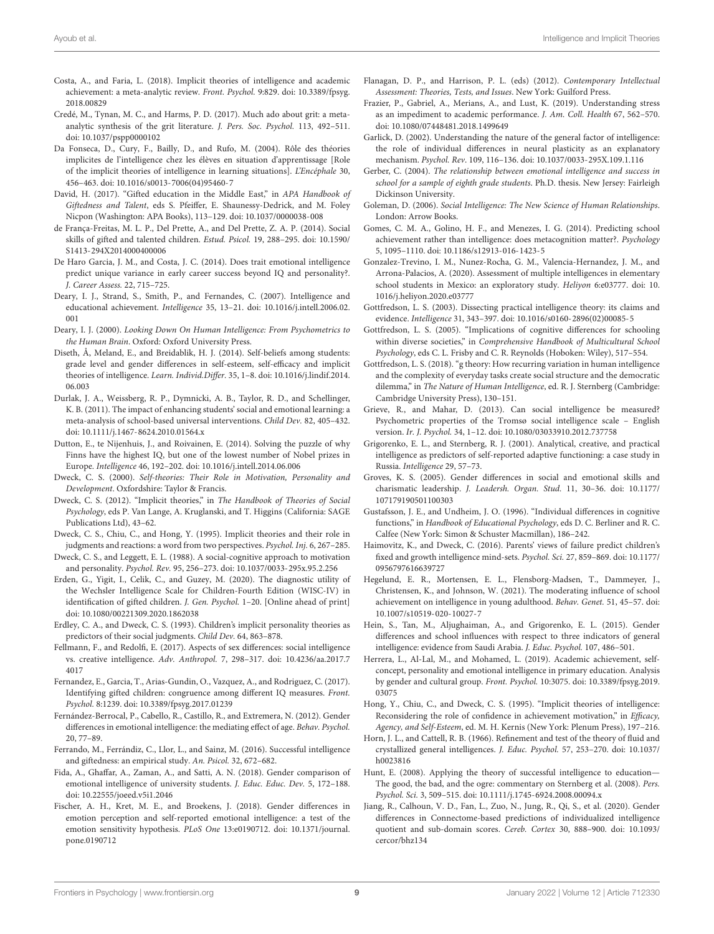- <span id="page-8-16"></span>Costa, A., and Faria, L. (2018). Implicit theories of intelligence and academic achievement: a meta-analytic review. Front. Psychol. 9:829. [doi: 10.3389/fpsyg.](https://doi.org/10.3389/fpsyg.2018.00829) [2018.00829](https://doi.org/10.3389/fpsyg.2018.00829)
- <span id="page-8-8"></span>Credé, M., Tynan, M. C., and Harms, P. D. (2017). Much ado about grit: a metaanalytic synthesis of the grit literature. J. Pers. Soc. Psychol. 113, 492–511. [doi: 10.1037/pspp0000102](https://doi.org/10.1037/pspp0000102)
- <span id="page-8-27"></span>Da Fonseca, D., Cury, F., Bailly, D., and Rufo, M. (2004). Rôle des théories implicites de l'intelligence chez les élèves en situation d'apprentissage [Role of the implicit theories of intelligence in learning situations]. L'Encéphale 30, 456–463. [doi: 10.1016/s0013-7006\(04\)95460-7](https://doi.org/10.1016/s0013-7006(04)95460-7)
- <span id="page-8-41"></span>David, H. (2017). "Gifted education in the Middle East," in APA Handbook of Giftedness and Talent, eds S. Pfeiffer, E. Shaunessy-Dedrick, and M. Foley Nicpon (Washington: APA Books), 113–129. [doi: 10.1037/0000038-008](https://doi.org/10.1037/0000038-008)
- <span id="page-8-39"></span>de França-Freitas, M. L. P., Del Prette, A., and Del Prette, Z. A. P. (2014). Social skills of gifted and talented children. Estud. Psicol. 19, 288–295. [doi: 10.1590/](https://doi.org/10.1590/S1413-294X2014000400006) [S1413-294X2014000400006](https://doi.org/10.1590/S1413-294X2014000400006)
- <span id="page-8-37"></span>De Haro Garcia, J. M., and Costa, J. C. (2014). Does trait emotional intelligence predict unique variance in early career success beyond IQ and personality?. J. Career Assess. 22, 715–725.
- <span id="page-8-6"></span>Deary, I. J., Strand, S., Smith, P., and Fernandes, C. (2007). Intelligence and educational achievement. Intelligence 35, 13–21. [doi: 10.1016/j.intell.2006.02.](https://doi.org/10.1016/j.intell.2006.02.001) [001](https://doi.org/10.1016/j.intell.2006.02.001)
- <span id="page-8-0"></span>Deary, I. J. (2000). Looking Down On Human Intelligence: From Psychometrics to the Human Brain. Oxford: Oxford University Press.
- <span id="page-8-12"></span>Diseth, Å, Meland, E., and Breidablik, H. J. (2014). Self-beliefs among students: grade level and gender differences in self-esteem, self-efficacy and implicit theories of intelligence. Learn. Individ.Differ. 35, 1–8. [doi: 10.1016/j.lindif.2014.](https://doi.org/10.1016/j.lindif.2014.06.003) [06.003](https://doi.org/10.1016/j.lindif.2014.06.003)
- <span id="page-8-19"></span>Durlak, J. A., Weissberg, R. P., Dymnicki, A. B., Taylor, R. D., and Schellinger, K. B. (2011). The impact of enhancing students' social and emotional learning: a meta-analysis of school-based universal interventions. Child Dev. 82, 405–432. [doi: 10.1111/j.1467-8624.2010.01564.x](https://doi.org/10.1111/j.1467-8624.2010.01564.x)
- <span id="page-8-10"></span>Dutton, E., te Nijenhuis, J., and Roivainen, E. (2014). Solving the puzzle of why Finns have the highest IQ, but one of the lowest number of Nobel prizes in Europe. Intelligence 46, 192–202. [doi: 10.1016/j.intell.2014.06.006](https://doi.org/10.1016/j.intell.2014.06.006)
- <span id="page-8-40"></span>Dweck, C. S. (2000). Self-theories: Their Role in Motivation, Personality and Development. Oxfordshire: Taylor & Francis.
- <span id="page-8-15"></span>Dweck, C. S. (2012). "Implicit theories," in The Handbook of Theories of Social Psychology, eds P. Van Lange, A. Kruglanski, and T. Higgins (California: SAGE Publications Ltd), 43–62.
- <span id="page-8-42"></span>Dweck, C. S., Chiu, C., and Hong, Y. (1995). Implicit theories and their role in judgments and reactions: a word from two perspectives. Psychol. Inj. 6, 267–285.
- <span id="page-8-26"></span>Dweck, C. S., and Leggett, E. L. (1988). A social-cognitive approach to motivation and personality. Psychol. Rev. 95, 256–273. [doi: 10.1037/0033-295x.95.2.256](https://doi.org/10.1037/0033-295x.95.2.256)
- <span id="page-8-9"></span>Erden, G., Yigit, I., Celik, C., and Guzey, M. (2020). The diagnostic utility of the Wechsler Intelligence Scale for Children-Fourth Edition (WISC-IV) in identification of gifted children. J. Gen. Psychol. 1–20. [Online ahead of print] [doi: 10.1080/00221309.2020.1862038](https://doi.org/10.1080/00221309.2020.1862038)
- <span id="page-8-13"></span>Erdley, C. A., and Dweck, C. S. (1993). Children's implicit personality theories as predictors of their social judgments. Child Dev. 64, 863–878.
- <span id="page-8-34"></span>Fellmann, F., and Redolfi, E. (2017). Aspects of sex differences: social intelligence vs. creative intelligence. Adv. Anthropol. 7, 298–317. [doi: 10.4236/aa.2017.7](https://doi.org/10.4236/aa.2017.74017) [4017](https://doi.org/10.4236/aa.2017.74017)
- <span id="page-8-38"></span>Fernandez, E., Garcia, T., Arias-Gundin, O., Vazquez, A., and Rodriguez, C. (2017). Identifying gifted children: congruence among different IQ measures. Front. Psychol. 8:1239. [doi: 10.3389/fpsyg.2017.01239](https://doi.org/10.3389/fpsyg.2017.01239)
- <span id="page-8-32"></span>Fernández-Berrocal, P., Cabello, R., Castillo, R., and Extremera, N. (2012). Gender differences in emotional intelligence: the mediating effect of age. Behav. Psychol. 20, 77–89.
- <span id="page-8-23"></span>Ferrando, M., Ferrándiz, C., Llor, L., and Sainz, M. (2016). Successful intelligence and giftedness: an empirical study. An. Psicol. 32, 672–682.
- <span id="page-8-35"></span>Fida, A., Ghaffar, A., Zaman, A., and Satti, A. N. (2018). Gender comparison of emotional intelligence of university students. J. Educ. Educ. Dev. 5, 172–188. [doi: 10.22555/joeed.v5i1.2046](https://doi.org/10.22555/joeed.v5i1.2046)
- <span id="page-8-31"></span>Fischer, A. H., Kret, M. E., and Broekens, J. (2018). Gender differences in emotion perception and self-reported emotional intelligence: a test of the emotion sensitivity hypothesis. PLoS One 13:e0190712. [doi: 10.1371/journal.](https://doi.org/10.1371/journal.pone.0190712) [pone.0190712](https://doi.org/10.1371/journal.pone.0190712)
- <span id="page-8-22"></span>Flanagan, D. P., and Harrison, P. L. (eds) (2012). Contemporary Intellectual Assessment: Theories, Tests, and Issues. New York: Guilford Press.
- <span id="page-8-43"></span>Frazier, P., Gabriel, A., Merians, A., and Lust, K. (2019). Understanding stress as an impediment to academic performance. J. Am. Coll. Health 67, 562–570. [doi: 10.1080/07448481.2018.1499649](https://doi.org/10.1080/07448481.2018.1499649)
- <span id="page-8-2"></span>Garlick, D. (2002). Understanding the nature of the general factor of intelligence: the role of individual differences in neural plasticity as an explanatory mechanism. Psychol. Rev. 109, 116–136. [doi: 10.1037/0033-295X.109.1.116](https://doi.org/10.1037/0033-295X.109.1.116)
- <span id="page-8-29"></span>Gerber, C. (2004). The relationship between emotional intelligence and success in school for a sample of eighth grade students. Ph.D. thesis. New Jersey: Fairleigh Dickinson University.
- <span id="page-8-17"></span>Goleman, D. (2006). Social Intelligence: The New Science of Human Relationships. London: Arrow Books.
- <span id="page-8-11"></span>Gomes, C. M. A., Golino, H. F., and Menezes, I. G. (2014). Predicting school achievement rather than intelligence: does metacognition matter?. Psychology 5, 1095–1110. [doi: 10.1186/s12913-016-1423-5](https://doi.org/10.1186/s12913-016-1423-5)
- <span id="page-8-20"></span>Gonzalez-Trevino, I. M., Nunez-Rocha, G. M., Valencia-Hernandez, J. M., and Arrona-Palacios, A. (2020). Assessment of multiple intelligences in elementary school students in Mexico: an exploratory study. Heliyon 6:e03777. [doi: 10.](https://doi.org/10.1016/j.heliyon.2020.e03777) [1016/j.heliyon.2020.e03777](https://doi.org/10.1016/j.heliyon.2020.e03777)
- <span id="page-8-25"></span>Gottfredson, L. S. (2003). Dissecting practical intelligence theory: its claims and evidence. Intelligence 31, 343–397. [doi: 10.1016/s0160-2896\(02\)00085-5](https://doi.org/10.1016/s0160-2896(02)00085-5)
- <span id="page-8-5"></span>Gottfredson, L. S. (2005). "Implications of cognitive differences for schooling within diverse societies," in Comprehensive Handbook of Multicultural School Psychology, eds C. L. Frisby and C. R. Reynolds (Hoboken: Wiley), 517–554.
- <span id="page-8-3"></span>Gottfredson, L. S. (2018). "g theory: How recurring variation in human intelligence and the complexity of everyday tasks create social structure and the democratic dilemma," in The Nature of Human Intelligence, ed. R. J. Sternberg (Cambridge: Cambridge University Press), 130–151.
- <span id="page-8-18"></span>Grieve, R., and Mahar, D. (2013). Can social intelligence be measured? Psychometric properties of the Tromsø social intelligence scale – English version. Ir. J. Psychol. 34, 1–12. [doi: 10.1080/03033910.2012.737758](https://doi.org/10.1080/03033910.2012.737758)
- <span id="page-8-7"></span>Grigorenko, E. L., and Sternberg, R. J. (2001). Analytical, creative, and practical intelligence as predictors of self-reported adaptive functioning: a case study in Russia. Intelligence 29, 57–73.
- <span id="page-8-33"></span>Groves, K. S. (2005). Gender differences in social and emotional skills and charismatic leadership. J. Leadersh. Organ. Stud. 11, 30–36. [doi: 10.1177/](https://doi.org/10.1177/107179190501100303) [107179190501100303](https://doi.org/10.1177/107179190501100303)
- <span id="page-8-4"></span>Gustafsson, J. E., and Undheim, J. O. (1996). "Individual differences in cognitive functions," in Handbook of Educational Psychology, eds D. C. Berliner and R. C. Calfee (New York: Simon & Schuster Macmillan), 186–242.
- <span id="page-8-1"></span>Haimovitz, K., and Dweck, C. (2016). Parents' views of failure predict children's fixed and growth intelligence mind-sets. Psychol. Sci. 27, 859–869. [doi: 10.1177/](https://doi.org/10.1177/0956797616639727) [0956797616639727](https://doi.org/10.1177/0956797616639727)
- <span id="page-8-44"></span>Hegelund, E. R., Mortensen, E. L., Flensborg-Madsen, T., Dammeyer, J., Christensen, K., and Johnson, W. (2021). The moderating influence of school achievement on intelligence in young adulthood. Behav. Genet. 51, 45–57. [doi:](https://doi.org/10.1007/s10519-020-10027-7) [10.1007/s10519-020-10027-7](https://doi.org/10.1007/s10519-020-10027-7)
- <span id="page-8-36"></span>Hein, S., Tan, M., Aljughaiman, A., and Grigorenko, E. L. (2015). Gender differences and school influences with respect to three indicators of general intelligence: evidence from Saudi Arabia. J. Educ. Psychol. 107, 486–501.
- <span id="page-8-30"></span>Herrera, L., Al-Lal, M., and Mohamed, L. (2019). Academic achievement, selfconcept, personality and emotional intelligence in primary education. Analysis by gender and cultural group. Front. Psychol. 10:3075. [doi: 10.3389/fpsyg.2019.](https://doi.org/10.3389/fpsyg.2019.03075) [03075](https://doi.org/10.3389/fpsyg.2019.03075)
- <span id="page-8-14"></span>Hong, Y., Chiu, C., and Dweck, C. S. (1995). "Implicit theories of intelligence: Reconsidering the role of confidence in achievement motivation," in *Efficacy*, Agency, and Self-Esteem, ed. M. H. Kernis (New York: Plenum Press), 197–216.
- <span id="page-8-21"></span>Horn, J. L., and Cattell, R. B. (1966). Refinement and test of the theory of fluid and crystallized general intelligences. J. Educ. Psychol. 57, 253–270. [doi: 10.1037/](https://doi.org/10.1037/h0023816) [h0023816](https://doi.org/10.1037/h0023816)
- <span id="page-8-24"></span>Hunt, E. (2008). Applying the theory of successful intelligence to education— The good, the bad, and the ogre: commentary on Sternberg et al. (2008). Pers. Psychol. Sci. 3, 509–515. [doi: 10.1111/j.1745-6924.2008.00094.x](https://doi.org/10.1111/j.1745-6924.2008.00094.x)
- <span id="page-8-28"></span>Jiang, R., Calhoun, V. D., Fan, L., Zuo, N., Jung, R., Qi, S., et al. (2020). Gender differences in Connectome-based predictions of individualized intelligence quotient and sub-domain scores. Cereb. Cortex 30, 888–900. [doi: 10.1093/](https://doi.org/10.1093/cercor/bhz134) [cercor/bhz134](https://doi.org/10.1093/cercor/bhz134)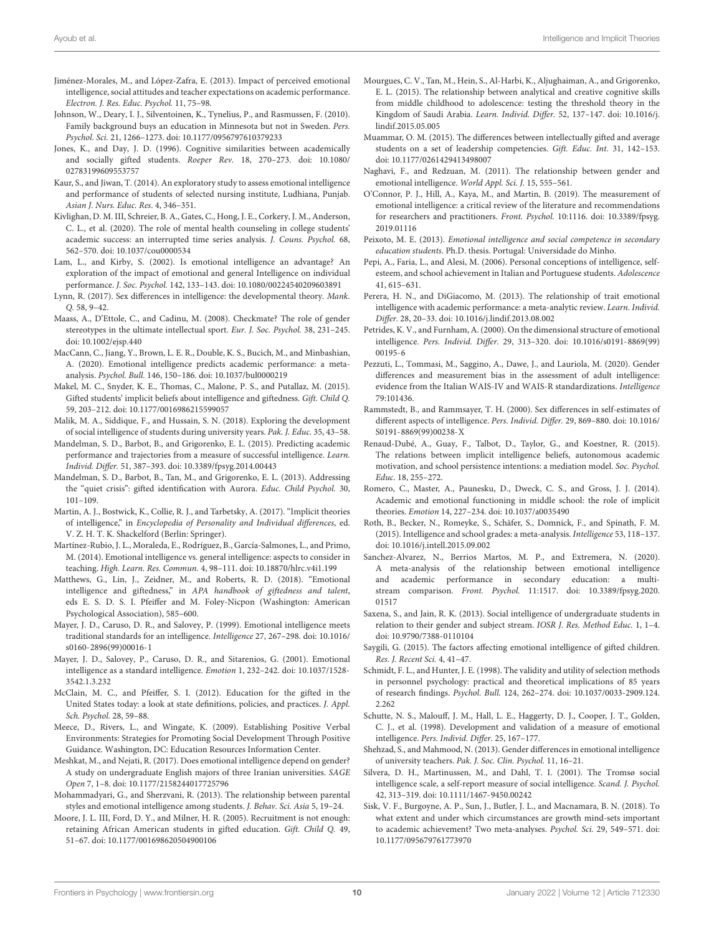- <span id="page-9-31"></span>Jiménez-Morales, M., and López-Zafra, E. (2013). Impact of perceived emotional intelligence, social attitudes and teacher expectations on academic performance. Electron. J. Res. Educ. Psychol. 11, 75–98.
- <span id="page-9-2"></span>Johnson, W., Deary, I. J., Silventoinen, K., Tynelius, P., and Rasmussen, F. (2010). Family background buys an education in Minnesota but not in Sweden. Pers. Psychol. Sci. 21, 1266–1273. [doi: 10.1177/0956797610379233](https://doi.org/10.1177/0956797610379233)
- <span id="page-9-34"></span>Jones, K., and Day, J. D. (1996). Cognitive similarities between academically and socially gifted students. Roeper Rev. 18, 270–273. [doi: 10.1080/](https://doi.org/10.1080/02783199609553757) [02783199609553757](https://doi.org/10.1080/02783199609553757)
- <span id="page-9-37"></span>Kaur, S., and Jiwan, T. (2014). An exploratory study to assess emotional intelligence and performance of students of selected nursing institute, Ludhiana, Punjab. Asian J. Nurs. Educ. Res. 4, 346–351.
- <span id="page-9-43"></span>Kivlighan, D. M. III, Schreier, B. A., Gates, C., Hong, J. E., Corkery, J. M., Anderson, C. L., et al. (2020). The role of mental health counseling in college students' academic success: an interrupted time series analysis. J. Couns. Psychol. 68, 562–570. [doi: 10.1037/cou0000534](https://doi.org/10.1037/cou0000534)
- <span id="page-9-9"></span>Lam, L., and Kirby, S. (2002). Is emotional intelligence an advantage? An exploration of the impact of emotional and general Intelligence on individual performance. J. Soc. Psychol. 142, 133–143. [doi: 10.1080/00224540209603891](https://doi.org/10.1080/00224540209603891)
- <span id="page-9-17"></span>Lynn, R. (2017). Sex differences in intelligence: the developmental theory. Mank. Q. 58, 9–42.
- <span id="page-9-1"></span>Maass, A., D'Ettole, C., and Cadinu, M. (2008). Checkmate? The role of gender stereotypes in the ultimate intellectual sport. Eur. J. Soc. Psychol. 38, 231–245. [doi: 10.1002/ejsp.440](https://doi.org/10.1002/ejsp.440)
- <span id="page-9-11"></span>MacCann, C., Jiang, Y., Brown, L. E. R., Double, K. S., Bucich, M., and Minbashian, A. (2020). Emotional intelligence predicts academic performance: a metaanalysis. Psychol. Bull. 146, 150–186. [doi: 10.1037/bul0000219](https://doi.org/10.1037/bul0000219)
- <span id="page-9-28"></span>Makel, M. C., Snyder, K. E., Thomas, C., Malone, P. S., and Putallaz, M. (2015). Gifted students' implicit beliefs about intelligence and giftedness. Gift. Child Q. 59, 203–212. [doi: 10.1177/0016986215599057](https://doi.org/10.1177/0016986215599057)
- <span id="page-9-26"></span>Malik, M. A., Siddique, F., and Hussain, S. N. (2018). Exploring the development of social intelligence of students during university years. Pak. J. Educ. 35, 43–58.
- <span id="page-9-33"></span>Mandelman, S. D., Barbot, B., and Grigorenko, E. L. (2015). Predicting academic performance and trajectories from a measure of successful intelligence. Learn. Individ. Differ. 51, 387–393. [doi: 10.3389/fpsyg.2014.00443](https://doi.org/10.3389/fpsyg.2014.00443)
- <span id="page-9-32"></span>Mandelman, S. D., Barbot, B., Tan, M., and Grigorenko, E. L. (2013). Addressing the "quiet crisis": gifted identification with Aurora. Educ. Child Psychol. 30, 101–109.
- <span id="page-9-5"></span>Martin, A. J., Bostwick, K., Collie, R. J., and Tarbetsky, A. (2017). "Implicit theories of intelligence," in Encyclopedia of Personality and Individual differences, ed. V. Z. H. T. K. Shackelford (Berlin: Springer).
- <span id="page-9-8"></span>Martínez-Rubio, J. L., Moraleda, E., Rodríguez, B., García-Salmones, L., and Primo, M. (2014). Emotional intelligence vs. general intelligence: aspects to consider in teaching. High. Learn. Res. Commun. 4, 98–111. [doi: 10.18870/hlrc.v4i1.199](https://doi.org/10.18870/hlrc.v4i1.199)
- <span id="page-9-14"></span>Matthews, G., Lin, J., Zeidner, M., and Roberts, R. D. (2018). "Emotional intelligence and giftedness," in APA handbook of giftedness and talent, eds E. S. D. S. I. Pfeiffer and M. Foley-Nicpon (Washington: American Psychological Association), 585–600.
- <span id="page-9-12"></span>Mayer, J. D., Caruso, D. R., and Salovey, P. (1999). Emotional intelligence meets traditional standards for an intelligence. Intelligence 27, 267–298. [doi: 10.1016/](https://doi.org/10.1016/s0160-2896(99)00016-1) [s0160-2896\(99\)00016-1](https://doi.org/10.1016/s0160-2896(99)00016-1)
- <span id="page-9-13"></span>Mayer, J. D., Salovey, P., Caruso, D. R., and Sitarenios, G. (2001). Emotional intelligence as a standard intelligence. Emotion 1, 232–242. [doi: 10.1037/1528-](https://doi.org/10.1037/1528-3542.1.3.232) [3542.1.3.232](https://doi.org/10.1037/1528-3542.1.3.232)
- <span id="page-9-4"></span>McClain, M. C., and Pfeiffer, S. I. (2012). Education for the gifted in the United States today: a look at state definitions, policies, and practices. J. Appl. Sch. Psychol. 28, 59–88.
- <span id="page-9-40"></span>Meece, D., Rivers, L., and Wingate, K. (2009). Establishing Positive Verbal Environments: Strategies for Promoting Social Development Through Positive Guidance. Washington, DC: Education Resources Information Center.
- <span id="page-9-21"></span>Meshkat, M., and Nejati, R. (2017). Does emotional intelligence depend on gender? A study on undergraduate English majors of three Iranian universities. SAGE Open 7, 1–8. [doi: 10.1177/2158244017725796](https://doi.org/10.1177/2158244017725796)
- <span id="page-9-36"></span>Mohammadyari, G., and Sherzvani, R. (2013). The relationship between parental styles and emotional intelligence among students. J. Behav. Sci. Asia 5, 19–24.
- <span id="page-9-39"></span>Moore, J. L. III, Ford, D. Y., and Milner, H. R. (2005). Recruitment is not enough: retaining African American students in gifted education. Gift. Child Q. 49, 51–67. [doi: 10.1177/001698620504900106](https://doi.org/10.1177/001698620504900106)
- <span id="page-9-27"></span>Mourgues, C. V., Tan, M., Hein, S., Al-Harbi, K., Aljughaiman, A., and Grigorenko, E. L. (2015). The relationship between analytical and creative cognitive skills from middle childhood to adolescence: testing the threshold theory in the Kingdom of Saudi Arabia. Learn. Individ. Differ. 52, 137–147. [doi: 10.1016/j.](https://doi.org/10.1016/j.lindif.2015.05.005) [lindif.2015.05.005](https://doi.org/10.1016/j.lindif.2015.05.005)
- <span id="page-9-42"></span>Muammar, O. M. (2015). The differences between intellectually gifted and average students on a set of leadership competencies. Gift. Educ. Int. 31, 142–153. [doi: 10.1177/0261429413498007](https://doi.org/10.1177/0261429413498007)
- <span id="page-9-30"></span>Naghavi, F., and Redzuan, M. (2011). The relationship between gender and emotional intelligence. World Appl. Sci. J. 15, 555–561.
- <span id="page-9-15"></span>O'Connor, P. J., Hill, A., Kaya, M., and Martin, B. (2019). The measurement of emotional intelligence: a critical review of the literature and recommendations for researchers and practitioners. Front. Psychol. 10:1116. [doi: 10.3389/fpsyg.](https://doi.org/10.3389/fpsyg.2019.01116) [2019.01116](https://doi.org/10.3389/fpsyg.2019.01116)
- <span id="page-9-29"></span>Peixoto, M. E. (2013). Emotional intelligence and social competence in secondary education students. Ph.D. thesis. Portugal: Universidade do Minho.
- <span id="page-9-41"></span>Pepi, A., Faria, L., and Alesi, M. (2006). Personal conceptions of intelligence, selfesteem, and school achievement in Italian and Portuguese students. Adolescence 41, 615–631.
- <span id="page-9-10"></span>Perera, H. N., and DiGiacomo, M. (2013). The relationship of trait emotional intelligence with academic performance: a meta-analytic review. Learn. Individ. Differ. 28, 20–33. [doi: 10.1016/j.lindif.2013.08.002](https://doi.org/10.1016/j.lindif.2013.08.002)
- <span id="page-9-20"></span>Petrides, K. V., and Furnham, A. (2000). On the dimensional structure of emotional intelligence. Pers. Individ. Differ. 29, 313–320. [doi: 10.1016/s0191-8869\(99\)](https://doi.org/10.1016/s0191-8869(99)00195-6) [00195-6](https://doi.org/10.1016/s0191-8869(99)00195-6)
- <span id="page-9-23"></span>Pezzuti, L., Tommasi, M., Saggino, A., Dawe, J., and Lauriola, M. (2020). Gender differences and measurement bias in the assessment of adult intelligence: evidence from the Italian WAIS-IV and WAIS-R standardizations. Intelligence 79:101436.
- <span id="page-9-38"></span>Rammstedt, B., and Rammsayer, T. H. (2000). Sex differences in self-estimates of different aspects of intelligence. Pers. Individ. Differ. 29, 869–880. [doi: 10.1016/](https://doi.org/10.1016/S0191-8869(99)00238-X) [S0191-8869\(99\)00238-X](https://doi.org/10.1016/S0191-8869(99)00238-X)
- <span id="page-9-6"></span>Renaud-Dubé, A., Guay, F., Talbot, D., Taylor, G., and Koestner, R. (2015). The relations between implicit intelligence beliefs, autonomous academic motivation, and school persistence intentions: a mediation model. Soc. Psychol. Educ. 18, 255–272.
- <span id="page-9-7"></span>Romero, C., Master, A., Paunesku, D., Dweck, C. S., and Gross, J. J. (2014). Academic and emotional functioning in middle school: the role of implicit theories. Emotion 14, 227–234. [doi: 10.1037/a0035490](https://doi.org/10.1037/a0035490)
- <span id="page-9-18"></span>Roth, B., Becker, N., Romeyke, S., Schäfer, S., Domnick, F., and Spinath, F. M. (2015). Intelligence and school grades: a meta-analysis. Intelligence 53, 118–137. [doi: 10.1016/j.intell.2015.09.002](https://doi.org/10.1016/j.intell.2015.09.002)
- <span id="page-9-0"></span>Sanchez-Alvarez, N., Berrios Martos, M. P., and Extremera, N. (2020). A meta-analysis of the relationship between emotional intelligence and academic performance in secondary education: a multistream comparison. Front. Psychol. 11:1517. [doi: 10.3389/fpsyg.2020.](https://doi.org/10.3389/fpsyg.2020.01517) [01517](https://doi.org/10.3389/fpsyg.2020.01517)
- <span id="page-9-25"></span>Saxena, S., and Jain, R. K. (2013). Social intelligence of undergraduate students in relation to their gender and subject stream. IOSR J. Res. Method Educ. 1, 1–4. [doi: 10.9790/7388-0110104](https://doi.org/10.9790/7388-0110104)
- <span id="page-9-24"></span>Saygili, G. (2015). The factors affecting emotional intelligence of gifted children. Res. J. Recent Sci. 4, 41–47.
- <span id="page-9-3"></span>Schmidt, F. L., and Hunter, J. E. (1998). The validity and utility of selection methods in personnel psychology: practical and theoretical implications of 85 years of research findings. Psychol. Bull. 124, 262–274. [doi: 10.1037/0033-2909.124.](https://doi.org/10.1037/0033-2909.124.2.262) [2.262](https://doi.org/10.1037/0033-2909.124.2.262)
- <span id="page-9-19"></span>Schutte, N. S., Malouff, J. M., Hall, L. E., Haggerty, D. J., Cooper, J. T., Golden, C. J., et al. (1998). Development and validation of a measure of emotional intelligence. Pers. Individ. Differ. 25, 167–177.
- <span id="page-9-22"></span>Shehzad, S., and Mahmood, N. (2013). Gender differences in emotional intelligence of university teachers. Pak. J. Soc. Clin. Psychol. 11, 16–21.
- <span id="page-9-35"></span>Silvera, D. H., Martinussen, M., and Dahl, T. I. (2001). The Tromsø social intelligence scale, a self-report measure of social intelligence. Scand. J. Psychol. 42, 313–319. [doi: 10.1111/1467-9450.00242](https://doi.org/10.1111/1467-9450.00242)
- <span id="page-9-16"></span>Sisk, V. F., Burgoyne, A. P., Sun, J., Butler, J. L., and Macnamara, B. N. (2018). To what extent and under which circumstances are growth mind-sets important to academic achievement? Two meta-analyses. Psychol. Sci. 29, 549–571. [doi:](https://doi.org/10.1177/095679761773970) [10.1177/095679761773970](https://doi.org/10.1177/095679761773970)